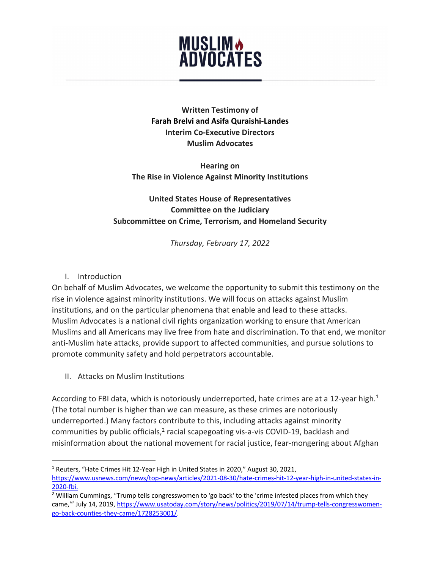## **MUSLIM &<br>ADVOCATES**

**Written Testimony of Farah Brelvi and Asifa Quraishi-Landes Interim Co-Executive Directors Muslim Advocates**

**Hearing on The Rise in Violence Against Minority Institutions**

## **United States House of Representatives Committee on the Judiciary Subcommittee on Crime, Terrorism, and Homeland Security**

*Thursday, February 17, 2022*

I. Introduction

On behalf of Muslim Advocates, we welcome the opportunity to submit this testimony on the rise in violence against minority institutions. We will focus on attacks against Muslim institutions, and on the particular phenomena that enable and lead to these attacks. Muslim Advocates is a national civil rights organization working to ensure that American Muslims and all Americans may live free from hate and discrimination. To that end, we monitor anti-Muslim hate attacks, provide support to affected communities, and pursue solutions to promote community safety and hold perpetrators accountable.

II. Attacks on Muslim Institutions

According to FBI data, which is notoriously underreported, hate crimes are at a 12-year high.<sup>1</sup> (The total number is higher than we can measure, as these crimes are notoriously underreported.) Many factors contribute to this, including attacks against minority communities by public officials,<sup>2</sup> racial scapegoating vis-a-vis COVID-19, backlash and misinformation about the national movement for racial justice, fear-mongering about Afghan

<sup>&</sup>lt;sup>1</sup> Reuters, "Hate Crimes Hit 12-Year High in United States in 2020," August 30, 2021, https://www.usnews.com/news/top-news/articles/2021-08-30/hate-crimes-hit-12-year-high-in-united-states-in-2020-fbi.<br><sup>2</sup> William Cummings, "Trump tells congresswomen to 'go back' to the 'crime infested places from which they

came,'" July 14, 2019, https://www.usatoday.com/story/news/politics/2019/07/14/trump-tells-congresswomengo-back-counties-they-came/1728253001/.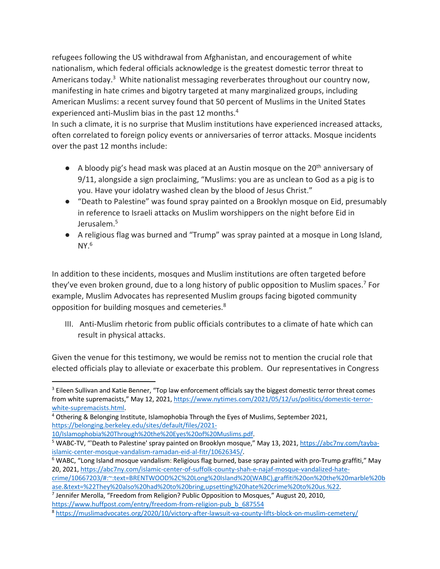refugees following the US withdrawal from Afghanistan, and encouragement of white nationalism, which federal officials acknowledge is the greatest domestic terror threat to Americans today.<sup>3</sup> White nationalist messaging reverberates throughout our country now, manifesting in hate crimes and bigotry targeted at many marginalized groups, including American Muslims: a recent survey found that 50 percent of Muslims in the United States experienced anti-Muslim bias in the past 12 months.<sup>4</sup>

In such a climate, it is no surprise that Muslim institutions have experienced increased attacks, often correlated to foreign policy events or anniversaries of terror attacks. Mosque incidents over the past 12 months include:

- $\bullet$  A bloody pig's head mask was placed at an Austin mosque on the 20<sup>th</sup> anniversary of 9/11, alongside a sign proclaiming, "Muslims: you are as unclean to God as a pig is to you. Have your idolatry washed clean by the blood of Jesus Christ."
- "Death to Palestine" was found spray painted on a Brooklyn mosque on Eid, presumably in reference to Israeli attacks on Muslim worshippers on the night before Eid in Jerusalem.<sup>5</sup>
- A religious flag was burned and "Trump" was spray painted at a mosque in Long Island,  $NY.<sup>6</sup>$

In addition to these incidents, mosques and Muslim institutions are often targeted before they've even broken ground, due to a long history of public opposition to Muslim spaces.<sup>7</sup> For example, Muslim Advocates has represented Muslim groups facing bigoted community opposition for building mosques and cemeteries.8

III. Anti-Muslim rhetoric from public officials contributes to a climate of hate which can result in physical attacks.

Given the venue for this testimony, we would be remiss not to mention the crucial role that elected officials play to alleviate or exacerbate this problem. Our representatives in Congress

<sup>&</sup>lt;sup>3</sup> Eileen Sullivan and Katie Benner, "Top law enforcement officials say the biggest domestic terror threat comes from white supremacists," May 12, 2021, https://www.nytimes.com/2021/05/12/us/politics/domestic-terror-

white-supremacists.html.<br><sup>4</sup> Othering & Belonging Institute, Islamophobia Through the Eyes of Muslims, September 2021, https://belonging.berkeley.edu/sites/default/files/2021-

<sup>10/</sup>Islamophobia%20Through%20the%20Eyes%20of%20Muslims.pdf.

<sup>5</sup> WABC-TV, "'Death to Palestine' spray painted on Brooklyn mosque," May 13, 2021, https://abc7ny.com/taybaislamic-center-mosque-vandalism-ramadan-eid-al-fitr/10626345/.<br><sup>6</sup> WABC, "Long Island mosque vandalism: Religious flag burned, base spray painted with pro-Trump graffiti," May

<sup>20, 2021,</sup> https://abc7ny.com/islamic-center-of-suffolk-county-shah-e-najaf-mosque-vandalized-hate-

crime/10667203/#:~:text=BRENTWOOD%2C%20Long%20Island%20(WABC),graffiti%20on%20the%20marble%20b ase.&text=%22They%20also%20had%20to%20bring,upsetting%20hate%20crime%20to%20us.%22.<br><sup>7</sup> Jennifer Merolla, "Freedom from Religion? Public Opposition to Mosques," August 20, 2010,

https://www.huffpost.com/entry/freedom-from-religion-pub\_b\_687554

<sup>8</sup> https://muslimadvocates.org/2020/10/victory-after-lawsuit-va-county-lifts-block-on-muslim-cemetery/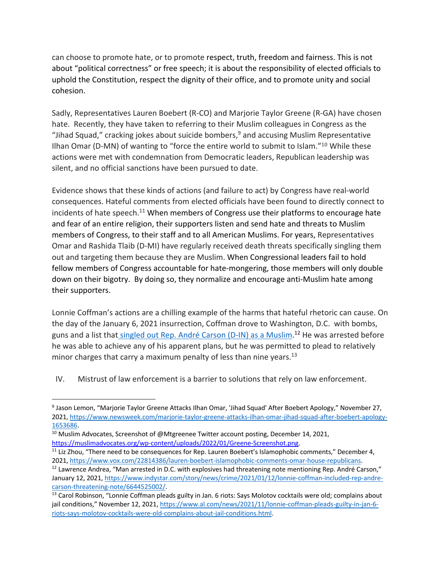can choose to promote hate, or to promote respect, truth, freedom and fairness. This is not about "political correctness" or free speech; it is about the responsibility of elected officials to uphold the Constitution, respect the dignity of their office, and to promote unity and social cohesion.

Sadly, Representatives Lauren Boebert (R-CO) and Marjorie Taylor Greene (R-GA) have chosen hate. Recently, they have taken to referring to their Muslim colleagues in Congress as the "Jihad Squad," cracking jokes about suicide bombers, <sup>9</sup> and accusing Muslim Representative Ilhan Omar (D-MN) of wanting to "force the entire world to submit to Islam."<sup>10</sup> While these actions were met with condemnation from Democratic leaders, Republican leadership was silent, and no official sanctions have been pursued to date.

Evidence shows that these kinds of actions (and failure to act) by Congress have real-world consequences. Hateful comments from elected officials have been found to directly connect to incidents of hate speech.<sup>11</sup> When members of Congress use their platforms to encourage hate and fear of an entire religion, their supporters listen and send hate and threats to Muslim members of Congress, to their staff and to all American Muslims. For years, Representatives Omar and Rashida Tlaib (D-MI) have regularly received death threats specifically singling them out and targeting them because they are Muslim. When Congressional leaders fail to hold fellow members of Congress accountable for hate-mongering, those members will only double down on their bigotry. By doing so, they normalize and encourage anti-Muslim hate among their supporters.

Lonnie Coffman's actions are a chilling example of the harms that hateful rhetoric can cause. On the day of the January 6, 2021 insurrection, Coffman drove to Washington, D.C. with bombs, guns and a list that singled out Rep. André Carson (D-IN) as a Muslim.<sup>12</sup> He was arrested before he was able to achieve any of his apparent plans, but he was permitted to plead to relatively minor charges that carry a maximum penalty of less than nine years.<sup>13</sup>

IV. Mistrust of law enforcement is a barrier to solutions that rely on law enforcement.

<sup>11</sup> Liz Zhou, "There need to be consequences for Rep. Lauren Boebert's Islamophobic comments," December 4, 2021, https://www.vox.com/22814386/lauren-boebert-islamophobic-comments-omar-house-republicans.<br><sup>12</sup> Lawrence Andrea, "Man arrested in D.C. with explosives had threatening note mentioning Rep. André Carson,"

<sup>9</sup> Jason Lemon, "Marjorie Taylor Greene Attacks Ilhan Omar, 'Jihad Squad' After Boebert Apology," November 27, 2021, https://www.newsweek.com/marjorie-taylor-greene-attacks-ilhan-omar-jihad-squad-after-boebert-apology-1653686.

<sup>&</sup>lt;sup>10</sup> Muslim Advocates, Screenshot of @Mtgreenee Twitter account posting, December 14, 2021, https://muslimadvocates.org/wp-content/uploads/2022/01/Greene-Screenshot.png.

January 12, 2021, https://www.indystar.com/story/news/crime/2021/01/12/lonnie-coffman-included-rep-andrecarson-threatening-note/6644525002/.

<sup>&</sup>lt;sup>13</sup> Carol Robinson, "Lonnie Coffman pleads guilty in Jan. 6 riots: Says Molotov cocktails were old; complains about jail conditions," November 12, 2021, https://www.al.com/news/2021/11/lonnie-coffman-pleads-guilty-in-jan-6 riots-says-molotov-cocktails-were-old-complains-about-jail-conditions.html.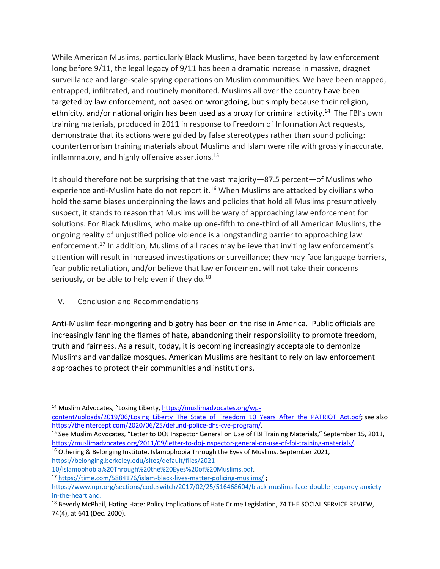While American Muslims, particularly Black Muslims, have been targeted by law enforcement long before 9/11, the legal legacy of 9/11 has been a dramatic increase in massive, dragnet surveillance and large-scale spying operations on Muslim communities. We have been mapped, entrapped, infiltrated, and routinely monitored. Muslims all over the country have been targeted by law enforcement, not based on wrongdoing, but simply because their religion, ethnicity, and/or national origin has been used as a proxy for criminal activity.<sup>14</sup> The FBI's own training materials, produced in 2011 in response to Freedom of Information Act requests, demonstrate that its actions were guided by false stereotypes rather than sound policing: counterterrorism training materials about Muslims and Islam were rife with grossly inaccurate, inflammatory, and highly offensive assertions.<sup>15</sup>

It should therefore not be surprising that the vast majority—87.5 percent—of Muslims who experience anti-Muslim hate do not report it.<sup>16</sup> When Muslims are attacked by civilians who hold the same biases underpinning the laws and policies that hold all Muslims presumptively suspect, it stands to reason that Muslims will be wary of approaching law enforcement for solutions. For Black Muslims, who make up one-fifth to one-third of all American Muslims, the ongoing reality of unjustified police violence is a longstanding barrier to approaching law enforcement.<sup>17</sup> In addition, Muslims of all races may believe that inviting law enforcement's attention will result in increased investigations or surveillance; they may face language barriers, fear public retaliation, and/or believe that law enforcement will not take their concerns seriously, or be able to help even if they do. $18$ 

V. Conclusion and Recommendations

Anti-Muslim fear-mongering and bigotry has been on the rise in America. Public officials are increasingly fanning the flames of hate, abandoning their responsibility to promote freedom, truth and fairness. As a result, today, it is becoming increasingly acceptable to demonize Muslims and vandalize mosques. American Muslims are hesitant to rely on law enforcement approaches to protect their communities and institutions.

 $16$  Othering & Belonging Institute, Islamophobia Through the Eyes of Muslims, September 2021, https://belonging.berkeley.edu/sites/default/files/2021-

<sup>&</sup>lt;sup>14</sup> Muslim Advocates, "Losing Liberty, https://muslimadvocates.org/wpcontent/uploads/2019/06/Losing\_Liberty\_The\_State\_of\_Freedom\_10\_Years\_After\_the\_PATRIOT\_Act.pdf; see also https://theintercept.com/2020/06/25/defund-police-dhs-cve-program/.

<sup>&</sup>lt;sup>15</sup> See Muslim Advocates, "Letter to DOJ Inspector General on Use of FBI Training Materials," September 15, 2011, https://muslimadvocates.org/2011/09/letter-to-doj-inspector-general-on-use-of-fbi-training-materials/.

<sup>10/</sup>Islamophobia%20Through%20the%20Eyes%20of%20Muslims.pdf. 17 https://time.com/5884176/islam-black-lives-matter-policing-muslims/ ;

https://www.npr.org/sections/codeswitch/2017/02/25/516468604/black-muslims-face-double-jeopardy-anxietyin-the-heartland.

<sup>&</sup>lt;sup>18</sup> Beverly McPhail, Hating Hate: Policy Implications of Hate Crime Legislation, 74 THE SOCIAL SERVICE REVIEW, 74(4), at 641 (Dec. 2000).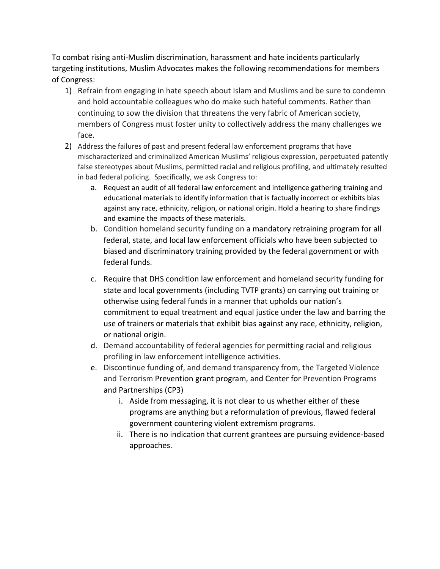To combat rising anti-Muslim discrimination, harassment and hate incidents particularly targeting institutions, Muslim Advocates makes the following recommendations for members of Congress:

- 1) Refrain from engaging in hate speech about Islam and Muslims and be sure to condemn and hold accountable colleagues who do make such hateful comments. Rather than continuing to sow the division that threatens the very fabric of American society, members of Congress must foster unity to collectively address the many challenges we face.
- 2) Address the failures of past and present federal law enforcement programs that have mischaracterized and criminalized American Muslims' religious expression, perpetuated patently false stereotypes about Muslims, permitted racial and religious profiling, and ultimately resulted in bad federal policing. Specifically, we ask Congress to:
	- a. Request an audit of all federal law enforcement and intelligence gathering training and educational materials to identify information that is factually incorrect or exhibits bias against any race, ethnicity, religion, or national origin. Hold a hearing to share findings and examine the impacts of these materials.
	- b. Condition homeland security funding on a mandatory retraining program for all federal, state, and local law enforcement officials who have been subjected to biased and discriminatory training provided by the federal government or with federal funds.
	- c. Require that DHS condition law enforcement and homeland security funding for state and local governments (including TVTP grants) on carrying out training or otherwise using federal funds in a manner that upholds our nation's commitment to equal treatment and equal justice under the law and barring the use of trainers or materials that exhibit bias against any race, ethnicity, religion, or national origin.
	- d. Demand accountability of federal agencies for permitting racial and religious profiling in law enforcement intelligence activities.
	- e. Discontinue funding of, and demand transparency from, the Targeted Violence and Terrorism Prevention grant program, and Center for Prevention Programs and Partnerships (CP3)
		- i. Aside from messaging, it is not clear to us whether either of these programs are anything but a reformulation of previous, flawed federal government countering violent extremism programs.
		- ii. There is no indication that current grantees are pursuing evidence-based approaches.